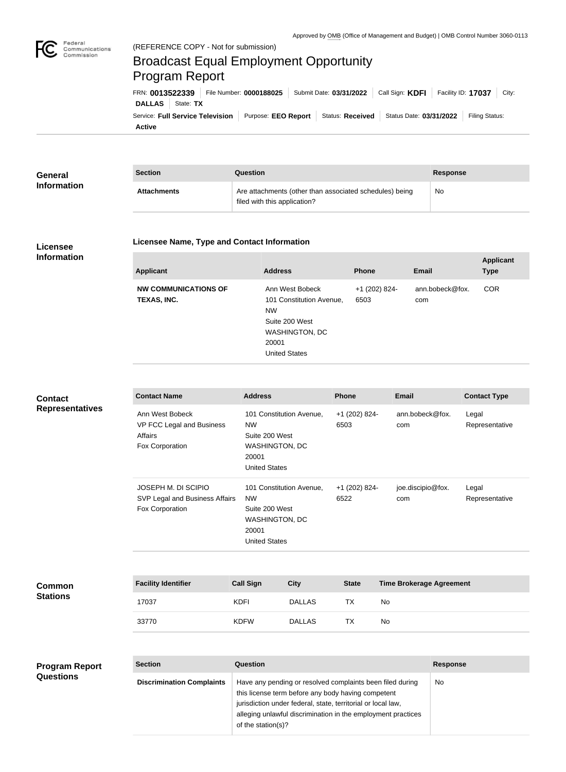

## Broadcast Equal Employment Opportunity Program Report

**Active** Service: Full Service Television | Purpose: EEO Report | Status: Received | Status Date: 03/31/2022 | Filing Status: **DALLAS** State: **TX** FRN: **0013522339** File Number: **0000188025** Submit Date: **03/31/2022** Call Sign: **KDFI** Facility ID: **17037** City:

| <b>General</b><br><b>Information</b> | <b>Section</b>     | Question                                                                                | <b>Response</b> |  |
|--------------------------------------|--------------------|-----------------------------------------------------------------------------------------|-----------------|--|
|                                      | <b>Attachments</b> | Are attachments (other than associated schedules) being<br>filed with this application? | No              |  |

## **Licensee Information**

## **Licensee Name, Type and Contact Information**

| <b>Applicant</b>                           | <b>Address</b>                                                                                                                       | <b>Phone</b>          | <b>Email</b>           | <b>Applicant</b><br><b>Type</b> |
|--------------------------------------------|--------------------------------------------------------------------------------------------------------------------------------------|-----------------------|------------------------|---------------------------------|
| <b>NW COMMUNICATIONS OF</b><br>TEXAS, INC. | Ann West Bobeck<br>101 Constitution Avenue,<br><b>NW</b><br>Suite 200 West<br><b>WASHINGTON, DC</b><br>20001<br><b>United States</b> | +1 (202) 824-<br>6503 | ann.bobeck@fox.<br>com | <b>COR</b>                      |

| <b>Contact</b>         |  |
|------------------------|--|
| <b>Representatives</b> |  |

| <b>Contact Name</b>                                                        | <b>Address</b>                                                                                             | <b>Phone</b>          | <b>Email</b>             | <b>Contact Type</b>     |
|----------------------------------------------------------------------------|------------------------------------------------------------------------------------------------------------|-----------------------|--------------------------|-------------------------|
| Ann West Bobeck<br>VP FCC Legal and Business<br>Affairs<br>Fox Corporation | 101 Constitution Avenue.<br><b>NW</b><br>Suite 200 West<br>WASHINGTON, DC<br>20001<br><b>United States</b> | +1 (202) 824-<br>6503 | ann.bobeck@fox.<br>com   | Legal<br>Representative |
| JOSEPH M. DI SCIPIO<br>SVP Legal and Business Affairs<br>Fox Corporation   | 101 Constitution Avenue,<br><b>NW</b><br>Suite 200 West<br>WASHINGTON, DC<br>20001<br><b>United States</b> | +1 (202) 824-<br>6522 | joe.discipio@fox.<br>com | Legal<br>Representative |

| <b>Common</b><br><b>Stations</b> | <b>Facility Identifier</b> | <b>Call Sign</b> | <b>City</b>   | <b>State</b> | <b>Time Brokerage Agreement</b> |
|----------------------------------|----------------------------|------------------|---------------|--------------|---------------------------------|
|                                  | 17037                      | <b>KDFI</b>      | <b>DALLAS</b> | <b>TX</b>    | No                              |
|                                  | 33770                      | <b>KDFW</b>      | <b>DALLAS</b> | TX           | No                              |

| <b>Program Report</b> | <b>Section</b>                   | Question                                                                                                                                                                                                                                                              | <b>Response</b> |  |  |
|-----------------------|----------------------------------|-----------------------------------------------------------------------------------------------------------------------------------------------------------------------------------------------------------------------------------------------------------------------|-----------------|--|--|
| <b>Questions</b>      | <b>Discrimination Complaints</b> | Have any pending or resolved complaints been filed during<br>this license term before any body having competent<br>jurisdiction under federal, state, territorial or local law,<br>alleging unlawful discrimination in the employment practices<br>of the station(s)? | No              |  |  |